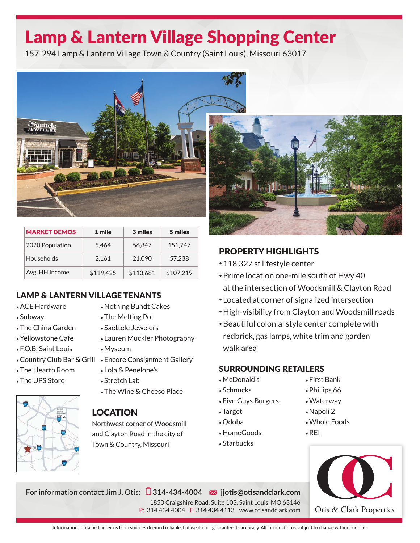# Lamp & Lantern Village Shopping Center

157-294 Lamp & Lantern Village Town & Country (Saint Louis), Missouri 63017



| <b>MARKET DEMOS</b> | 1 mile    | 3 miles   | 5 miles   |
|---------------------|-----------|-----------|-----------|
| 2020 Population     | 5,464     | 56.847    | 151,747   |
| Households          | 2,161     | 21,090    | 57.238    |
| Avg. HH Income      | \$119,425 | \$113,681 | \$107,219 |

### LAMP & LANTERN VILLAGE TENANTS

- ACE Hardware
- Subway
- The China Garden
- Yellowstone Cafe
- F.O.B. Saint Louis
- 
- The Hearth Room
- The UPS Store



## • Nothing Bundt Cakes

- The Melting Pot
- Saettele Jewelers
- Lauren Muckler Photography
- Myseum
- Country Club Bar & Grill Encore Consignment Gallery
	- Lola & Penelope's
	- Stretch Lab
	- The Wine & Cheese Place

### LOCATION

Northwest corner of Woodsmill and Clayton Road in the city of Town & Country, Missouri

For information contact Jim J. Otis: **314-434-4004 jjotis@otisandclark.com**



## PROPERTY HIGHLIGHTS

- 118,327 sf lifestyle center
- Prime location one-mile south of Hwy 40 at the intersection of Woodsmill & Clayton Road
- Located at corner of signalized intersection
- High-visibility from Clayton and Woodsmill roads
- Beautiful colonial style center complete with redbrick, gas lamps, white trim and garden walk area

### SURROUNDING RETAILERS

- McDonald's
- Schnucks
- Five Guys Burgers
- Target
- Qdoba
- HomeGoods
- Starbucks

1850 Craigshire Road, Suite 103, Saint Louis, MO 63146 P: 314.434.4004 F: 314.434.4113 www.otisandclark.com

- First Bank
- Phillips 66
- Waterway
- Napoli 2
- Whole Foods
- REI



Information contained herein is from sources deemed reliable, but we do not guarantee its accuracy. All information is subject to change without notice.